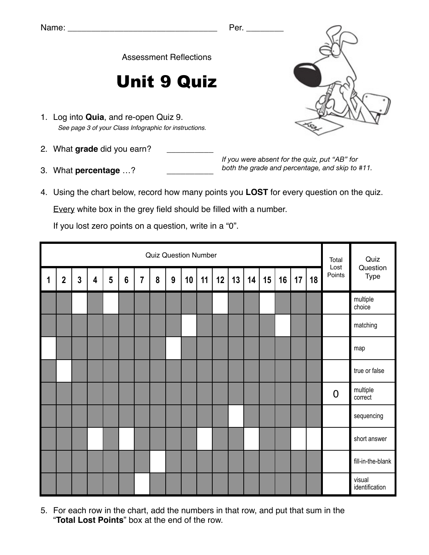Assessment Reflections

## Unit 9 Quiz

- 1. Log into **Quia**, and re-open Quiz 9. *See page 3 of your Class Infographic for instructions.*
- 2. What grade did you earn?
- 3. What **percentage** ...?

*If you were absent for the quiz, put "AB" for both the grade and percentage, and skip to #11.*

4. Using the chart below, record how many points you **LOST** for every question on the quiz.

Every white box in the grey field should be filled with a number.

If you lost zero points on a question, write in a "0".

|             | <b>Quiz Question Number</b> |              |                         |                |                 |                |   |                  |    |    |    |    |    |    |    | Total<br>Lost | Quiz |                |                          |
|-------------|-----------------------------|--------------|-------------------------|----------------|-----------------|----------------|---|------------------|----|----|----|----|----|----|----|---------------|------|----------------|--------------------------|
| $\mathbf 1$ | $\overline{2}$              | $\mathbf{3}$ | $\overline{\mathbf{4}}$ | $5\phantom{1}$ | $6\phantom{1}6$ | $\overline{7}$ | 8 | $\boldsymbol{9}$ | 10 | 11 | 12 | 13 | 14 | 15 | 16 | 17            | 18   | Points         | Question<br>Type         |
|             |                             |              |                         |                |                 |                |   |                  |    |    |    |    |    |    |    |               |      |                | multiple<br>choice       |
|             |                             |              |                         |                |                 |                |   |                  |    |    |    |    |    |    |    |               |      |                | matching                 |
|             |                             |              |                         |                |                 |                |   |                  |    |    |    |    |    |    |    |               |      |                | map                      |
|             |                             |              |                         |                |                 |                |   |                  |    |    |    |    |    |    |    |               |      |                | true or false            |
|             |                             |              |                         |                |                 |                |   |                  |    |    |    |    |    |    |    |               |      | $\overline{0}$ | multiple<br>correct      |
|             |                             |              |                         |                |                 |                |   |                  |    |    |    |    |    |    |    |               |      |                | sequencing               |
|             |                             |              |                         |                |                 |                |   |                  |    |    |    |    |    |    |    |               |      |                | short answer             |
|             |                             |              |                         |                |                 |                |   |                  |    |    |    |    |    |    |    |               |      |                | fill-in-the-blank        |
|             |                             |              |                         |                |                 |                |   |                  |    |    |    |    |    |    |    |               |      |                | visual<br>identification |

5. For each row in the chart, add the numbers in that row, and put that sum in the "**Total Lost Points**" box at the end of the row.